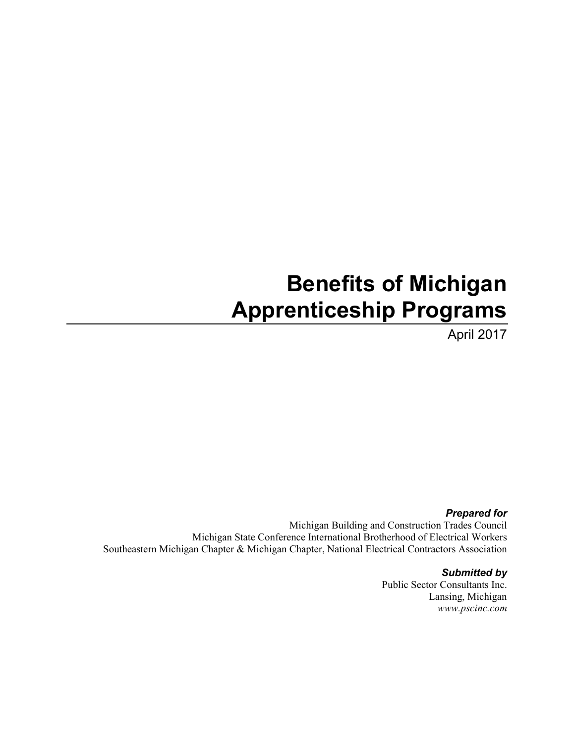# **Benefits of Michigan Apprenticeship Programs**

April 2017

*Prepared for* Michigan Building and Construction Trades Council Michigan State Conference International Brotherhood of Electrical Workers Southeastern Michigan Chapter & Michigan Chapter, National Electrical Contractors Association

#### *Submitted by*

Public Sector Consultants Inc. Lansing, Michigan *www.pscinc.com*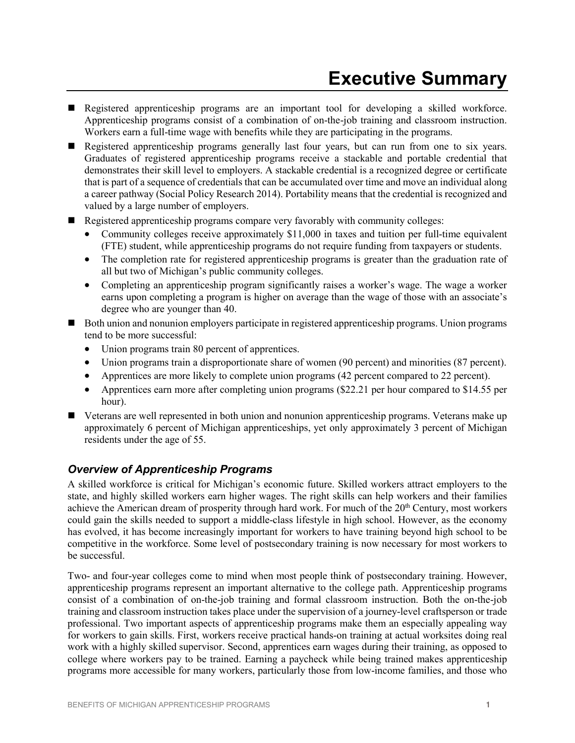- Registered apprenticeship programs are an important tool for developing a skilled workforce. Apprenticeship programs consist of a combination of on-the-job training and classroom instruction. Workers earn a full-time wage with benefits while they are participating in the programs.
- Registered apprenticeship programs generally last four years, but can run from one to six years. Graduates of registered apprenticeship programs receive a stackable and portable credential that demonstrates their skill level to employers. A stackable credential is a recognized degree or certificate that is part of a sequence of credentials that can be accumulated over time and move an individual along a career pathway (Social Policy Research 2014). Portability means that the credential is recognized and valued by a large number of employers.
- Registered apprenticeship programs compare very favorably with community colleges:
	- Community colleges receive approximately \$11,000 in taxes and tuition per full-time equivalent (FTE) student, while apprenticeship programs do not require funding from taxpayers or students.
	- The completion rate for registered apprenticeship programs is greater than the graduation rate of all but two of Michigan's public community colleges.
	- Completing an apprenticeship program significantly raises a worker's wage. The wage a worker earns upon completing a program is higher on average than the wage of those with an associate's degree who are younger than 40.
- Both union and nonunion employers participate in registered apprenticeship programs. Union programs tend to be more successful:
	- Union programs train 80 percent of apprentices.
	- Union programs train a disproportionate share of women (90 percent) and minorities (87 percent).
	- Apprentices are more likely to complete union programs (42 percent compared to 22 percent).
	- Apprentices earn more after completing union programs (\$22.21 per hour compared to \$14.55 per hour).
- Veterans are well represented in both union and nonunion apprenticeship programs. Veterans make up approximately 6 percent of Michigan apprenticeships, yet only approximately 3 percent of Michigan residents under the age of 55.

# *Overview of Apprenticeship Programs*

A skilled workforce is critical for Michigan's economic future. Skilled workers attract employers to the state, and highly skilled workers earn higher wages. The right skills can help workers and their families achieve the American dream of prosperity through hard work. For much of the 20<sup>th</sup> Century, most workers could gain the skills needed to support a middle-class lifestyle in high school. However, as the economy has evolved, it has become increasingly important for workers to have training beyond high school to be competitive in the workforce. Some level of postsecondary training is now necessary for most workers to be successful.

Two- and four-year colleges come to mind when most people think of postsecondary training. However, apprenticeship programs represent an important alternative to the college path. Apprenticeship programs consist of a combination of on-the-job training and formal classroom instruction. Both the on-the-job training and classroom instruction takes place under the supervision of a journey-level craftsperson or trade professional. Two important aspects of apprenticeship programs make them an especially appealing way for workers to gain skills. First, workers receive practical hands-on training at actual worksites doing real work with a highly skilled supervisor. Second, apprentices earn wages during their training, as opposed to college where workers pay to be trained. Earning a paycheck while being trained makes apprenticeship programs more accessible for many workers, particularly those from low-income families, and those who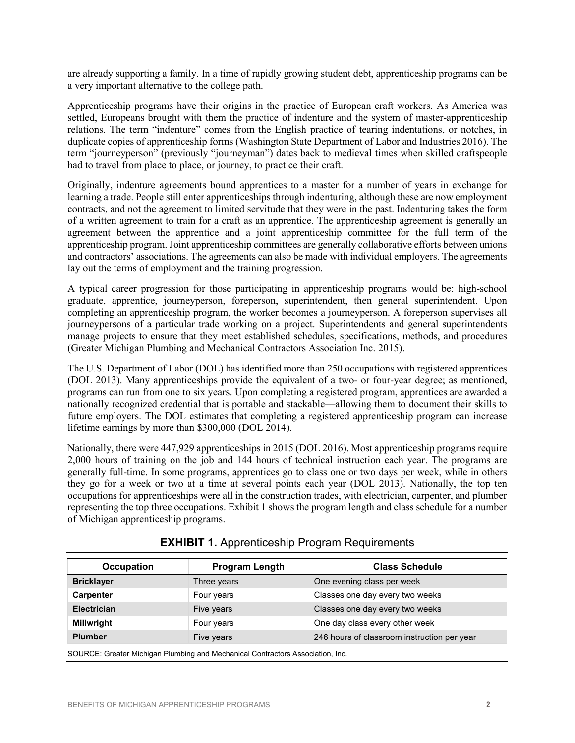are already supporting a family. In a time of rapidly growing student debt, apprenticeship programs can be a very important alternative to the college path.

Apprenticeship programs have their origins in the practice of European craft workers. As America was settled, Europeans brought with them the practice of indenture and the system of master-apprenticeship relations. The term "indenture" comes from the English practice of tearing indentations, or notches, in duplicate copies of apprenticeship forms (Washington State Department of Labor and Industries 2016). The term "journeyperson" (previously "journeyman") dates back to medieval times when skilled craftspeople had to travel from place to place, or journey, to practice their craft.

Originally, indenture agreements bound apprentices to a master for a number of years in exchange for learning a trade. People still enter apprenticeships through indenturing, although these are now employment contracts, and not the agreement to limited servitude that they were in the past. Indenturing takes the form of a written agreement to train for a craft as an apprentice. The apprenticeship agreement is generally an agreement between the apprentice and a joint apprenticeship committee for the full term of the apprenticeship program. Joint apprenticeship committees are generally collaborative efforts between unions and contractors' associations. The agreements can also be made with individual employers. The agreements lay out the terms of employment and the training progression.

A typical career progression for those participating in apprenticeship programs would be: high-school graduate, apprentice, journeyperson, foreperson, superintendent, then general superintendent. Upon completing an apprenticeship program, the worker becomes a journeyperson. A foreperson supervises all journeypersons of a particular trade working on a project. Superintendents and general superintendents manage projects to ensure that they meet established schedules, specifications, methods, and procedures (Greater Michigan Plumbing and Mechanical Contractors Association Inc. 2015).

The U.S. Department of Labor (DOL) has identified more than 250 occupations with registered apprentices (DOL 2013). Many apprenticeships provide the equivalent of a two- or four-year degree; as mentioned, programs can run from one to six years. Upon completing a registered program, apprentices are awarded a nationally recognized credential that is portable and stackable—allowing them to document their skills to future employers. The DOL estimates that completing a registered apprenticeship program can increase lifetime earnings by more than \$300,000 (DOL 2014).

Nationally, there were 447,929 apprenticeships in 2015 (DOL 2016). Most apprenticeship programs require 2,000 hours of training on the job and 144 hours of technical instruction each year. The programs are generally full-time. In some programs, apprentices go to class one or two days per week, while in others they go for a week or two at a time at several points each year (DOL 2013). Nationally, the top ten occupations for apprenticeships were all in the construction trades, with electrician, carpenter, and plumber representing the top three occupations. Exhibit 1 shows the program length and class schedule for a number of Michigan apprenticeship programs.

| <b>Occupation</b>                                                              | <b>Program Length</b> | <b>Class Schedule</b>                       |  |  |
|--------------------------------------------------------------------------------|-----------------------|---------------------------------------------|--|--|
| <b>Bricklayer</b>                                                              | Three years           | One evening class per week                  |  |  |
| <b>Carpenter</b>                                                               | Four years            | Classes one day every two weeks             |  |  |
| <b>Electrician</b>                                                             | Five years            | Classes one day every two weeks             |  |  |
| <b>Millwright</b>                                                              | Four years            | One day class every other week              |  |  |
| <b>Plumber</b>                                                                 | Five years            | 246 hours of classroom instruction per year |  |  |
| SOURCE: Greater Michigan Plumbing and Mechanical Contractors Association, Inc. |                       |                                             |  |  |

# **EXHIBIT 1.** Apprenticeship Program Requirements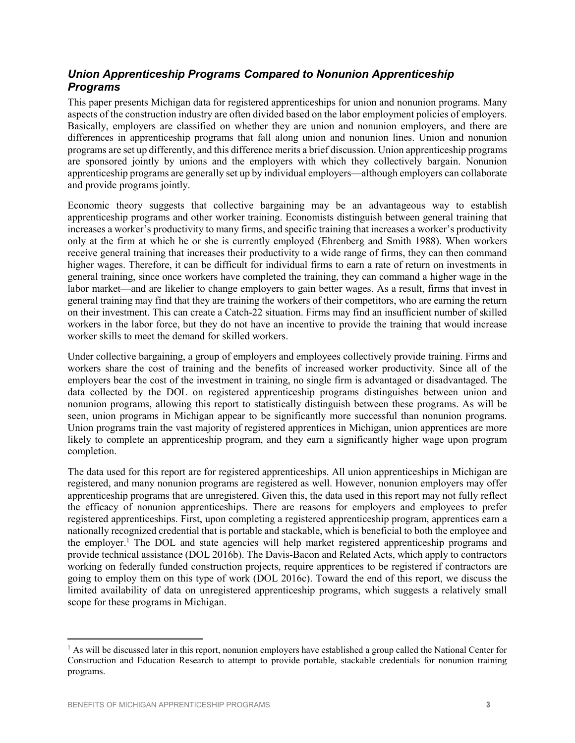# *Union Apprenticeship Programs Compared to Nonunion Apprenticeship Programs*

This paper presents Michigan data for registered apprenticeships for union and nonunion programs. Many aspects of the construction industry are often divided based on the labor employment policies of employers. Basically, employers are classified on whether they are union and nonunion employers, and there are differences in apprenticeship programs that fall along union and nonunion lines. Union and nonunion programs are set up differently, and this difference merits a brief discussion. Union apprenticeship programs are sponsored jointly by unions and the employers with which they collectively bargain. Nonunion apprenticeship programs are generally set up by individual employers—although employers can collaborate and provide programs jointly.

Economic theory suggests that collective bargaining may be an advantageous way to establish apprenticeship programs and other worker training. Economists distinguish between general training that increases a worker's productivity to many firms, and specific training that increases a worker's productivity only at the firm at which he or she is currently employed (Ehrenberg and Smith 1988). When workers receive general training that increases their productivity to a wide range of firms, they can then command higher wages. Therefore, it can be difficult for individual firms to earn a rate of return on investments in general training, since once workers have completed the training, they can command a higher wage in the labor market—and are likelier to change employers to gain better wages. As a result, firms that invest in general training may find that they are training the workers of their competitors, who are earning the return on their investment. This can create a Catch-22 situation. Firms may find an insufficient number of skilled workers in the labor force, but they do not have an incentive to provide the training that would increase worker skills to meet the demand for skilled workers.

Under collective bargaining, a group of employers and employees collectively provide training. Firms and workers share the cost of training and the benefits of increased worker productivity. Since all of the employers bear the cost of the investment in training, no single firm is advantaged or disadvantaged. The data collected by the DOL on registered apprenticeship programs distinguishes between union and nonunion programs, allowing this report to statistically distinguish between these programs. As will be seen, union programs in Michigan appear to be significantly more successful than nonunion programs. Union programs train the vast majority of registered apprentices in Michigan, union apprentices are more likely to complete an apprenticeship program, and they earn a significantly higher wage upon program completion.

The data used for this report are for registered apprenticeships. All union apprenticeships in Michigan are registered, and many nonunion programs are registered as well. However, nonunion employers may offer apprenticeship programs that are unregistered. Given this, the data used in this report may not fully reflect the efficacy of nonunion apprenticeships. There are reasons for employers and employees to prefer registered apprenticeships. First, upon completing a registered apprenticeship program, apprentices earn a nationally recognized credential that is portable and stackable, which is beneficial to both the employee and the employer. <sup>1</sup> The DOL and state agencies will help market registered apprenticeship programs and provide technical assistance (DOL 2016b). The Davis-Bacon and Related Acts, which apply to contractors working on federally funded construction projects, require apprentices to be registered if contractors are going to employ them on this type of work (DOL 2016c). Toward the end of this report, we discuss the limited availability of data on unregistered apprenticeship programs, which suggests a relatively small scope for these programs in Michigan.

 $\overline{a}$ 

 $<sup>1</sup>$  As will be discussed later in this report, nonunion employers have established a group called the National Center for</sup> Construction and Education Research to attempt to provide portable, stackable credentials for nonunion training programs.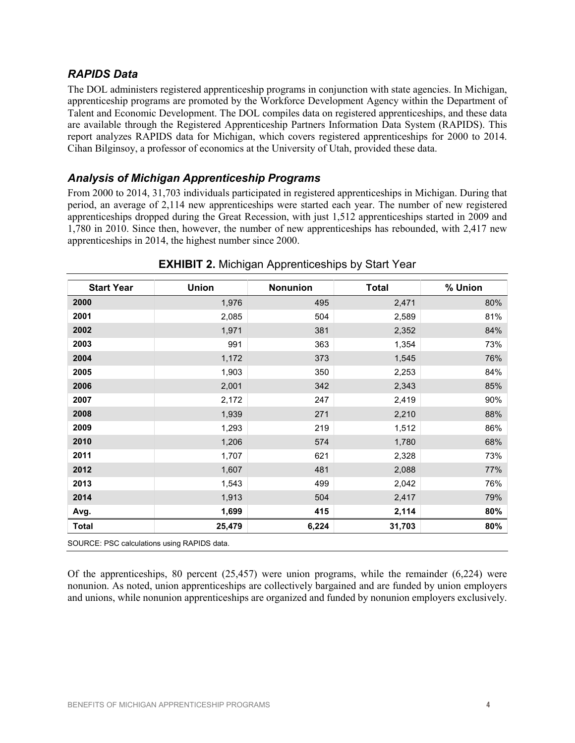# *RAPIDS Data*

The DOL administers registered apprenticeship programs in conjunction with state agencies. In Michigan, apprenticeship programs are promoted by the Workforce Development Agency within the Department of Talent and Economic Development. The DOL compiles data on registered apprenticeships, and these data are available through the Registered Apprenticeship Partners Information Data System (RAPIDS). This report analyzes RAPIDS data for Michigan, which covers registered apprenticeships for 2000 to 2014. Cihan Bilginsoy, a professor of economics at the University of Utah, provided these data.

# *Analysis of Michigan Apprenticeship Programs*

From 2000 to 2014, 31,703 individuals participated in registered apprenticeships in Michigan. During that period, an average of 2,114 new apprenticeships were started each year. The number of new registered apprenticeships dropped during the Great Recession, with just 1,512 apprenticeships started in 2009 and 1,780 in 2010. Since then, however, the number of new apprenticeships has rebounded, with 2,417 new apprenticeships in 2014, the highest number since 2000.

| 2000<br>2001<br>2002<br>2003<br>2004<br>2005<br>2006<br>2007<br>2008<br>2009<br>2010<br>2011 | 1,976<br>2,085<br>1,971<br>991<br>1,172<br>1,903<br>2,001<br>2,172 | 495<br>504<br>381<br>363<br>373<br>350<br>342<br>247 | 2,471<br>2,589<br>2,352<br>1,354<br>1,545<br>2,253<br>2,343 | 80%<br>81%<br>84%<br>73%<br>76%<br>84%<br>85% |
|----------------------------------------------------------------------------------------------|--------------------------------------------------------------------|------------------------------------------------------|-------------------------------------------------------------|-----------------------------------------------|
|                                                                                              |                                                                    |                                                      |                                                             |                                               |
|                                                                                              |                                                                    |                                                      |                                                             |                                               |
|                                                                                              |                                                                    |                                                      |                                                             |                                               |
|                                                                                              |                                                                    |                                                      |                                                             |                                               |
|                                                                                              |                                                                    |                                                      |                                                             |                                               |
|                                                                                              |                                                                    |                                                      |                                                             |                                               |
|                                                                                              |                                                                    |                                                      |                                                             |                                               |
|                                                                                              |                                                                    |                                                      | 2,419                                                       | 90%                                           |
|                                                                                              | 1,939                                                              | 271                                                  | 2,210                                                       | 88%                                           |
|                                                                                              | 1,293                                                              | 219                                                  | 1,512                                                       | 86%                                           |
|                                                                                              | 1,206                                                              | 574                                                  | 1,780                                                       | 68%                                           |
|                                                                                              | 1,707                                                              | 621                                                  | 2,328                                                       | 73%                                           |
| 2012                                                                                         | 1,607                                                              | 481                                                  | 2,088                                                       | 77%                                           |
| 2013                                                                                         | 1,543                                                              | 499                                                  | 2,042                                                       | 76%                                           |
| 2014                                                                                         | 1,913                                                              | 504                                                  | 2,417                                                       | 79%                                           |
| Avg.                                                                                         | 1,699                                                              | 415                                                  | 2,114                                                       | 80%                                           |
| <b>Total</b>                                                                                 | 25,479                                                             | 6,224                                                | 31,703                                                      | 80%                                           |

### **EXHIBIT 2.** Michigan Apprenticeships by Start Year

Of the apprenticeships, 80 percent (25,457) were union programs, while the remainder (6,224) were nonunion. As noted, union apprenticeships are collectively bargained and are funded by union employers and unions, while nonunion apprenticeships are organized and funded by nonunion employers exclusively.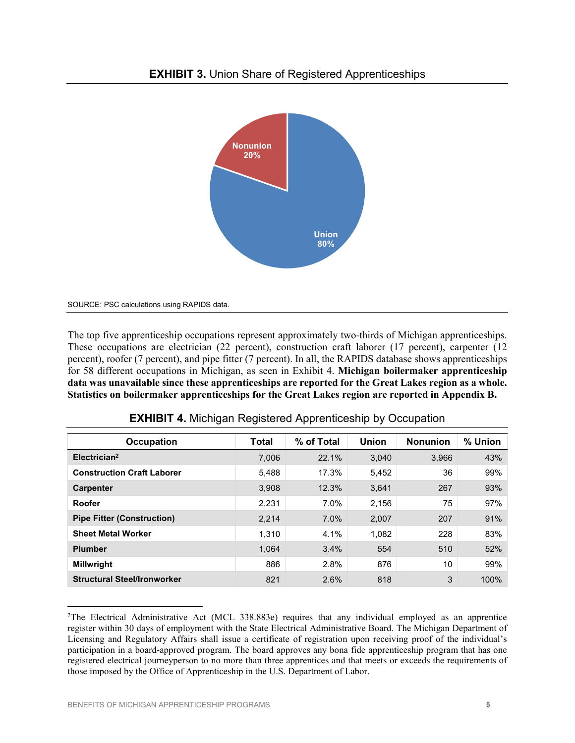

SOURCE: PSC calculations using RAPIDS data.

The top five apprenticeship occupations represent approximately two-thirds of Michigan apprenticeships. These occupations are electrician (22 percent), construction craft laborer (17 percent), carpenter (12 percent), roofer (7 percent), and pipe fitter (7 percent). In all, the RAPIDS database shows apprenticeships for 58 different occupations in Michigan, as seen in Exhibit 4. **Michigan boilermaker apprenticeship data was unavailable since these apprenticeships are reported for the Great Lakes region as a whole. Statistics on boilermaker apprenticeships for the Great Lakes region are reported in Appendix B.**

| <b>Occupation</b>                  | Total | % of Total | <b>Union</b> | <b>Nonunion</b> | % Union |
|------------------------------------|-------|------------|--------------|-----------------|---------|
| Electrician <sup>2</sup>           | 7.006 | 22.1%      | 3.040        | 3.966           | 43%     |
| <b>Construction Craft Laborer</b>  | 5,488 | 17.3%      | 5,452        | 36              | 99%     |
| <b>Carpenter</b>                   | 3,908 | 12.3%      | 3.641        | 267             | 93%     |
| Roofer                             | 2,231 | 7.0%       | 2,156        | 75              | 97%     |
| <b>Pipe Fitter (Construction)</b>  | 2,214 | 7.0%       | 2,007        | 207             | 91%     |
| <b>Sheet Metal Worker</b>          | 1,310 | 4.1%       | 1,082        | 228             | 83%     |
| <b>Plumber</b>                     | 1.064 | 3.4%       | 554          | 510             | 52%     |
| <b>Millwright</b>                  | 886   | 2.8%       | 876          | 10              | 99%     |
| <b>Structural Steel/Ironworker</b> | 821   | 2.6%       | 818          | 3               | 100%    |

|  | <b>EXHIBIT 4. Michigan Registered Apprenticeship by Occupation</b> |  |
|--|--------------------------------------------------------------------|--|
|  |                                                                    |  |

 $\overline{a}$ 

<sup>&</sup>lt;sup>2</sup>The Electrical Administrative Act (MCL 338.883e) requires that any individual employed as an apprentice register within 30 days of employment with the State Electrical Administrative Board. The Michigan Department of Licensing and Regulatory Affairs shall issue a certificate of registration upon receiving proof of the individual's participation in a board-approved program. The board approves any bona fide apprenticeship program that has one registered electrical journeyperson to no more than three apprentices and that meets or exceeds the requirements of those imposed by the Office of Apprenticeship in the U.S. Department of Labor.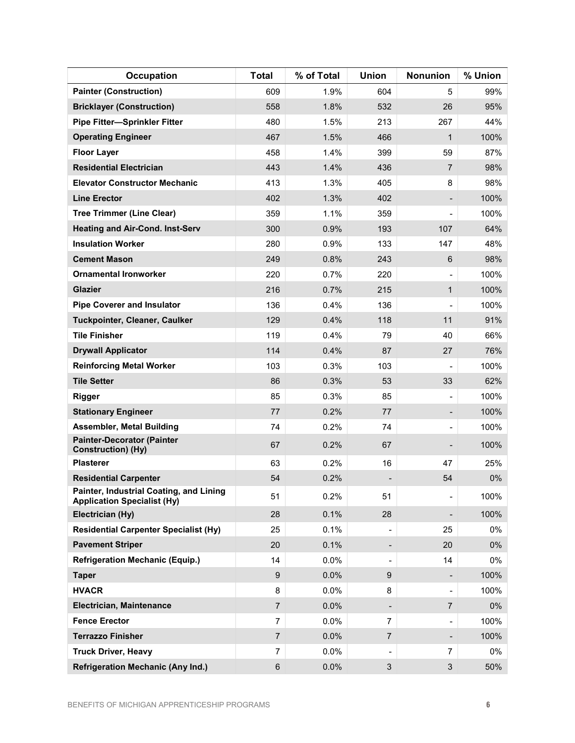| <b>Occupation</b>                                                             | <b>Total</b>   | % of Total | <b>Union</b>             | Nonunion                 | % Union |
|-------------------------------------------------------------------------------|----------------|------------|--------------------------|--------------------------|---------|
| <b>Painter (Construction)</b>                                                 | 609            | 1.9%       | 604                      | 5                        | 99%     |
| <b>Bricklayer (Construction)</b>                                              | 558            | 1.8%       | 532                      | 26                       | 95%     |
| <b>Pipe Fitter-Sprinkler Fitter</b>                                           | 480            | 1.5%       | 213                      | 267                      | 44%     |
| <b>Operating Engineer</b>                                                     | 467            | 1.5%       | 466                      | 1                        | 100%    |
| <b>Floor Layer</b>                                                            | 458            | 1.4%       | 399                      | 59                       | 87%     |
| <b>Residential Electrician</b>                                                | 443            | 1.4%       | 436                      | $\overline{7}$           | 98%     |
| <b>Elevator Constructor Mechanic</b>                                          | 413            | 1.3%       | 405                      | 8                        | 98%     |
| <b>Line Erector</b>                                                           | 402            | 1.3%       | 402                      | $\overline{\phantom{0}}$ | 100%    |
| <b>Tree Trimmer (Line Clear)</b>                                              | 359            | 1.1%       | 359                      | $\overline{\phantom{0}}$ | 100%    |
| <b>Heating and Air-Cond. Inst-Serv</b>                                        | 300            | 0.9%       | 193                      | 107                      | 64%     |
| <b>Insulation Worker</b>                                                      | 280            | 0.9%       | 133                      | 147                      | 48%     |
| <b>Cement Mason</b>                                                           | 249            | 0.8%       | 243                      | 6                        | 98%     |
| <b>Ornamental Ironworker</b>                                                  | 220            | 0.7%       | 220                      |                          | 100%    |
| <b>Glazier</b>                                                                | 216            | 0.7%       | 215                      | 1                        | 100%    |
| <b>Pipe Coverer and Insulator</b>                                             | 136            | 0.4%       | 136                      |                          | 100%    |
| Tuckpointer, Cleaner, Caulker                                                 | 129            | 0.4%       | 118                      | 11                       | 91%     |
| <b>Tile Finisher</b>                                                          | 119            | 0.4%       | 79                       | 40                       | 66%     |
| <b>Drywall Applicator</b>                                                     | 114            | 0.4%       | 87                       | 27                       | 76%     |
| <b>Reinforcing Metal Worker</b>                                               | 103            | 0.3%       | 103                      |                          | 100%    |
| <b>Tile Setter</b>                                                            | 86             | 0.3%       | 53                       | 33                       | 62%     |
| Rigger                                                                        | 85             | 0.3%       | 85                       | $\overline{\phantom{0}}$ | 100%    |
| <b>Stationary Engineer</b>                                                    | 77             | 0.2%       | 77                       | -                        | 100%    |
| <b>Assembler, Metal Building</b>                                              | 74             | 0.2%       | 74                       | $\overline{\phantom{0}}$ | 100%    |
| <b>Painter-Decorator (Painter</b><br><b>Construction) (Hy)</b>                | 67             | 0.2%       | 67                       |                          | 100%    |
| <b>Plasterer</b>                                                              | 63             | 0.2%       | 16                       | 47                       | 25%     |
| <b>Residential Carpenter</b>                                                  | 54             | 0.2%       |                          | 54                       | 0%      |
| Painter, Industrial Coating, and Lining<br><b>Application Specialist (Hy)</b> | 51             | 0.2%       | 51                       | $\overline{\phantom{0}}$ | 100%    |
| Electrician (Hy)                                                              | 28             | 0.1%       | 28                       |                          | 100%    |
| <b>Residential Carpenter Specialist (Hy)</b>                                  | 25             | 0.1%       |                          | 25                       | $0\%$   |
| <b>Pavement Striper</b>                                                       | 20             | 0.1%       |                          | 20                       | 0%      |
| <b>Refrigeration Mechanic (Equip.)</b>                                        | 14             | 0.0%       | $\overline{\phantom{a}}$ | 14                       | 0%      |
| <b>Taper</b>                                                                  | 9              | 0.0%       | 9                        |                          | 100%    |
| <b>HVACR</b>                                                                  | 8              | 0.0%       | 8                        | $\overline{\phantom{0}}$ | 100%    |
| Electrician, Maintenance                                                      | $\overline{7}$ | 0.0%       |                          | $\overline{7}$           | 0%      |
| <b>Fence Erector</b>                                                          | $\overline{7}$ | 0.0%       | $\overline{7}$           | $\overline{\phantom{0}}$ | 100%    |
| <b>Terrazzo Finisher</b>                                                      | $\overline{7}$ | 0.0%       | $\overline{7}$           |                          | 100%    |
| <b>Truck Driver, Heavy</b>                                                    | $\overline{7}$ | 0.0%       |                          | 7                        | 0%      |
| <b>Refrigeration Mechanic (Any Ind.)</b>                                      | $\,6$          | 0.0%       | $\sqrt{3}$               | $\mathfrak{S}$           | 50%     |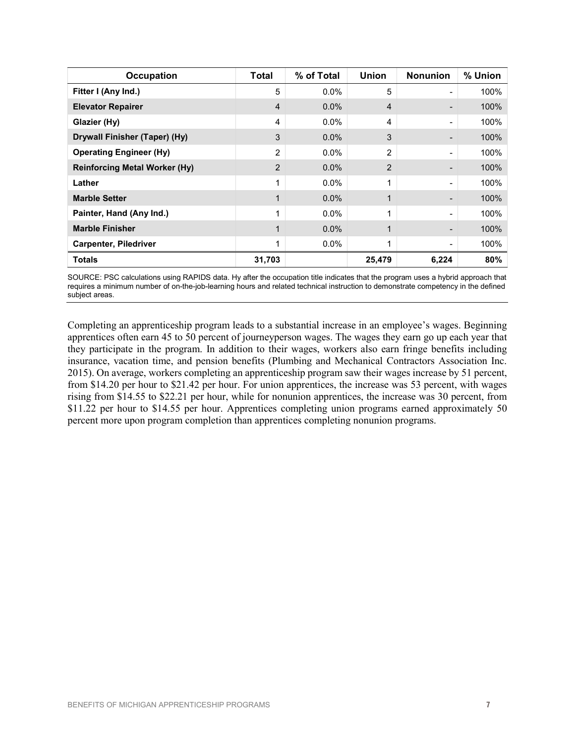| <b>Occupation</b>                    | Total  | % of Total | <b>Union</b>   | <b>Nonunion</b> | % Union |
|--------------------------------------|--------|------------|----------------|-----------------|---------|
| Fitter I (Any Ind.)                  | 5      | $0.0\%$    | 5              | -               | 100%    |
| <b>Elevator Repairer</b>             | 4      | 0.0%       | 4              |                 | 100%    |
| Glazier (Hy)                         | 4      | $0.0\%$    | 4              | -               | 100%    |
| Drywall Finisher (Taper) (Hy)        | 3      | 0.0%       | 3              |                 | 100%    |
| <b>Operating Engineer (Hy)</b>       | 2      | $0.0\%$    | $\overline{2}$ | -               | 100%    |
| <b>Reinforcing Metal Worker (Hy)</b> | 2      | 0.0%       | $\overline{2}$ |                 | 100%    |
| Lather                               | 1      | $0.0\%$    | 1              | -               | 100%    |
| <b>Marble Setter</b>                 |        | 0.0%       | 1              |                 | 100%    |
| Painter, Hand (Any Ind.)             | 4      | $0.0\%$    | 4              | -               | 100%    |
| <b>Marble Finisher</b>               |        | 0.0%       | 1              |                 | 100%    |
| <b>Carpenter, Piledriver</b>         |        | 0.0%       | 1              |                 | 100%    |
| <b>Totals</b>                        | 31,703 |            | 25,479         | 6,224           | 80%     |

SOURCE: PSC calculations using RAPIDS data. Hy after the occupation title indicates that the program uses a hybrid approach that requires a minimum number of on-the-job-learning hours and related technical instruction to demonstrate competency in the defined subject areas.

Completing an apprenticeship program leads to a substantial increase in an employee's wages. Beginning apprentices often earn 45 to 50 percent of journeyperson wages. The wages they earn go up each year that they participate in the program. In addition to their wages, workers also earn fringe benefits including insurance, vacation time, and pension benefits (Plumbing and Mechanical Contractors Association Inc. 2015). On average, workers completing an apprenticeship program saw their wages increase by 51 percent, from \$14.20 per hour to \$21.42 per hour. For union apprentices, the increase was 53 percent, with wages rising from \$14.55 to \$22.21 per hour, while for nonunion apprentices, the increase was 30 percent, from \$11.22 per hour to \$14.55 per hour. Apprentices completing union programs earned approximately 50 percent more upon program completion than apprentices completing nonunion programs.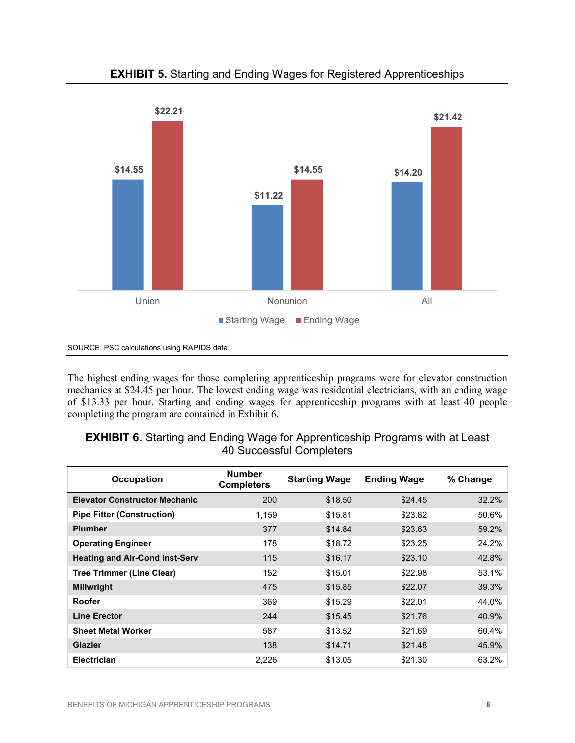

# **EXHIBIT 5.** Starting and Ending Wages for Registered Apprenticeships

SOURCE: PSC calculations using RAPIDS data.

The highest ending wages for those completing apprenticeship programs were for elevator construction mechanics at \$24.45 per hour. The lowest ending wage was residential electricians, with an ending wage of \$13.33 per hour. Starting and ending wages for apprenticeship programs with at least 40 people completing the program are contained in Exhibit 6.

## **EXHIBIT 6.** Starting and Ending Wage for Apprenticeship Programs with at Least 40 Successful Completers

| <b>Occupation</b>                     | <b>Number</b><br><b>Completers</b> | <b>Starting Wage</b> | <b>Ending Wage</b> | % Change |
|---------------------------------------|------------------------------------|----------------------|--------------------|----------|
| <b>Elevator Constructor Mechanic</b>  | 200                                | \$18.50              | \$24.45            | 32.2%    |
| <b>Pipe Fitter (Construction)</b>     | 1,159                              | \$15.81              | \$23.82            | 50.6%    |
| <b>Plumber</b>                        | 377                                | \$14.84              | \$23.63            | 59.2%    |
| <b>Operating Engineer</b>             | 178                                | \$18.72              | \$23.25            | 24.2%    |
| <b>Heating and Air-Cond Inst-Serv</b> | 115                                | \$16.17              | \$23.10            | 42.8%    |
| <b>Tree Trimmer (Line Clear)</b>      | 152                                | \$15.01              | \$22.98            | 53.1%    |
| <b>Millwright</b>                     | 475                                | \$15.85              | \$22.07            | 39.3%    |
| Roofer                                | 369                                | \$15.29              | \$22.01            | 44.0%    |
| <b>Line Erector</b>                   | 244                                | \$15.45              | \$21.76            | 40.9%    |
| <b>Sheet Metal Worker</b>             | 587                                | \$13.52              | \$21.69            | 60.4%    |
| <b>Glazier</b>                        | 138                                | \$14.71              | \$21.48            | 45.9%    |
| <b>Electrician</b>                    | 2,226                              | \$13.05              | \$21.30            | 63.2%    |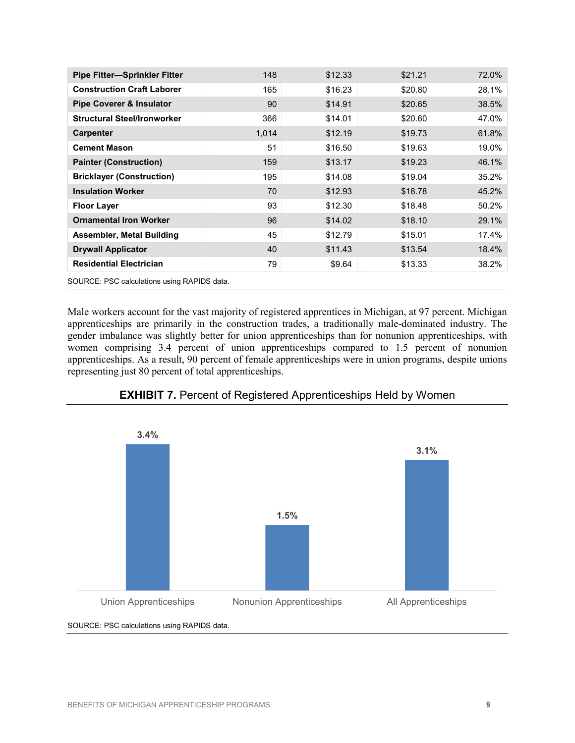| <b>Pipe Fitter-Sprinkler Fitter</b>         | 148   | \$12.33 | \$21.21 | 72.0% |
|---------------------------------------------|-------|---------|---------|-------|
| <b>Construction Craft Laborer</b>           | 165   | \$16.23 | \$20.80 | 28.1% |
| <b>Pipe Coverer &amp; Insulator</b>         | 90    | \$14.91 | \$20.65 | 38.5% |
| <b>Structural Steel/Ironworker</b>          | 366   | \$14.01 | \$20.60 | 47.0% |
| <b>Carpenter</b>                            | 1,014 | \$12.19 | \$19.73 | 61.8% |
| <b>Cement Mason</b>                         | 51    | \$16.50 | \$19.63 | 19.0% |
| <b>Painter (Construction)</b>               | 159   | \$13.17 | \$19.23 | 46.1% |
| <b>Bricklayer (Construction)</b>            | 195   | \$14.08 | \$19.04 | 35.2% |
| <b>Insulation Worker</b>                    | 70    | \$12.93 | \$18.78 | 45.2% |
| <b>Floor Layer</b>                          | 93    | \$12.30 | \$18.48 | 50.2% |
| <b>Ornamental Iron Worker</b>               | 96    | \$14.02 | \$18.10 | 29.1% |
| <b>Assembler, Metal Building</b>            | 45    | \$12.79 | \$15.01 | 17.4% |
| <b>Drywall Applicator</b>                   | 40    | \$11.43 | \$13.54 | 18.4% |
| <b>Residential Electrician</b>              | 79    | \$9.64  | \$13.33 | 38.2% |
| SOURCE: PSC calculations using RAPIDS data. |       |         |         |       |

Male workers account for the vast majority of registered apprentices in Michigan, at 97 percent. Michigan apprenticeships are primarily in the construction trades, a traditionally male-dominated industry. The gender imbalance was slightly better for union apprenticeships than for nonunion apprenticeships, with women comprising 3.4 percent of union apprenticeships compared to 1.5 percent of nonunion apprenticeships. As a result, 90 percent of female apprenticeships were in union programs, despite unions representing just 80 percent of total apprenticeships.



# **EXHIBIT 7.** Percent of Registered Apprenticeships Held by Women

SOURCE: PSC calculations using RAPIDS data.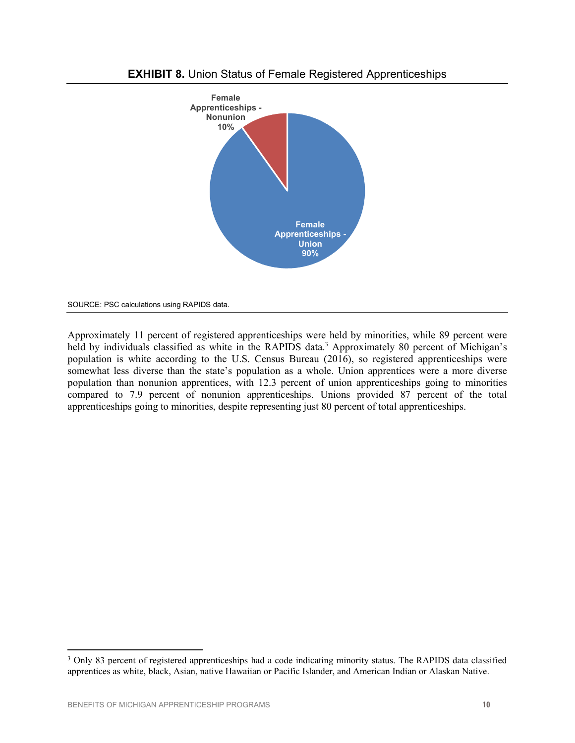



SOURCE: PSC calculations using RAPIDS data.

Approximately 11 percent of registered apprenticeships were held by minorities, while 89 percent were held by individuals classified as white in the RAPIDS data.<sup>3</sup> Approximately 80 percent of Michigan's population is white according to the U.S. Census Bureau (2016), so registered apprenticeships were somewhat less diverse than the state's population as a whole. Union apprentices were a more diverse population than nonunion apprentices, with 12.3 percent of union apprenticeships going to minorities compared to 7.9 percent of nonunion apprenticeships. Unions provided 87 percent of the total apprenticeships going to minorities, despite representing just 80 percent of total apprenticeships.

 $\overline{a}$ <sup>3</sup> Only 83 percent of registered apprenticeships had a code indicating minority status. The RAPIDS data classified apprentices as white, black, Asian, native Hawaiian or Pacific Islander, and American Indian or Alaskan Native.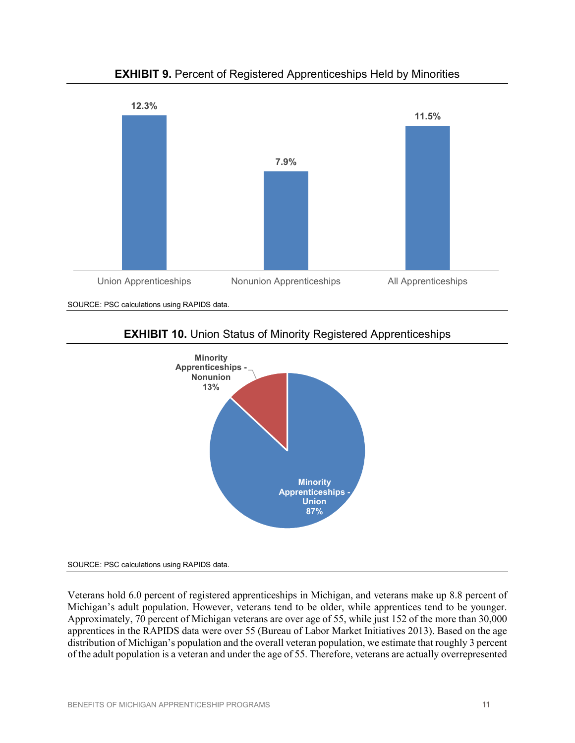

**EXHIBIT 9.** Percent of Registered Apprenticeships Held by Minorities

SOURCE: PSC calculations using RAPIDS data.





SOURCE: PSC calculations using RAPIDS data.

Veterans hold 6.0 percent of registered apprenticeships in Michigan, and veterans make up 8.8 percent of Michigan's adult population. However, veterans tend to be older, while apprentices tend to be younger. Approximately, 70 percent of Michigan veterans are over age of 55, while just 152 of the more than 30,000 apprentices in the RAPIDS data were over 55 (Bureau of Labor Market Initiatives 2013). Based on the age distribution of Michigan's population and the overall veteran population, we estimate that roughly 3 percent of the adult population is a veteran and under the age of 55. Therefore, veterans are actually overrepresented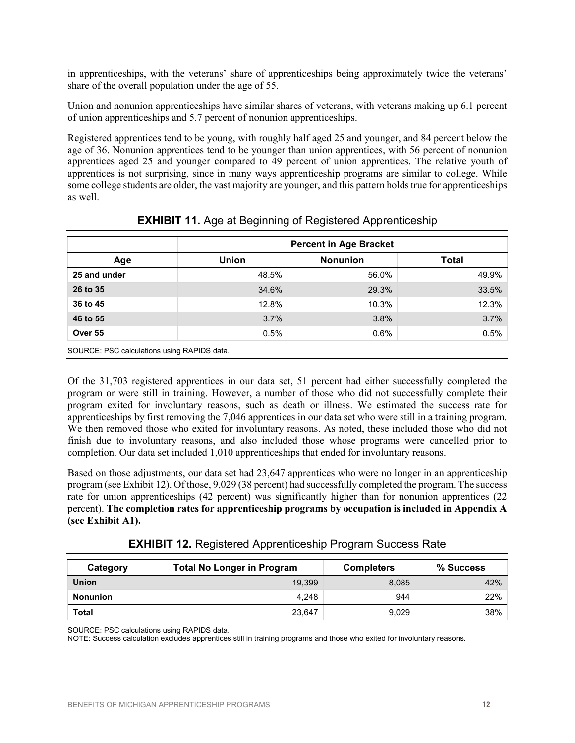in apprenticeships, with the veterans' share of apprenticeships being approximately twice the veterans' share of the overall population under the age of 55.

Union and nonunion apprenticeships have similar shares of veterans, with veterans making up 6.1 percent of union apprenticeships and 5.7 percent of nonunion apprenticeships.

Registered apprentices tend to be young, with roughly half aged 25 and younger, and 84 percent below the age of 36. Nonunion apprentices tend to be younger than union apprentices, with 56 percent of nonunion apprentices aged 25 and younger compared to 49 percent of union apprentices. The relative youth of apprentices is not surprising, since in many ways apprenticeship programs are similar to college. While some college students are older, the vast majority are younger, and this pattern holds true for apprenticeships as well.

|                                             | <b>Percent in Age Bracket</b> |                 |       |  |  |
|---------------------------------------------|-------------------------------|-----------------|-------|--|--|
| Age                                         | <b>Union</b>                  | <b>Nonunion</b> | Total |  |  |
| 25 and under                                | 48.5%                         | 56.0%           | 49.9% |  |  |
| 26 to 35                                    | 34.6%                         | 29.3%           | 33.5% |  |  |
| 36 to 45                                    | 12.8%                         | 10.3%           | 12.3% |  |  |
| 46 to 55                                    | 3.7%                          | 3.8%            | 3.7%  |  |  |
| Over 55                                     | 0.5%                          | $0.6\%$         | 0.5%  |  |  |
| SOURCE: PSC calculations using RAPIDS data. |                               |                 |       |  |  |

**EXHIBIT 11.** Age at Beginning of Registered Apprenticeship

Of the 31,703 registered apprentices in our data set, 51 percent had either successfully completed the program or were still in training. However, a number of those who did not successfully complete their program exited for involuntary reasons, such as death or illness. We estimated the success rate for apprenticeships by first removing the 7,046 apprentices in our data set who were still in a training program. We then removed those who exited for involuntary reasons. As noted, these included those who did not finish due to involuntary reasons, and also included those whose programs were cancelled prior to completion. Our data set included 1,010 apprenticeships that ended for involuntary reasons.

Based on those adjustments, our data set had 23,647 apprentices who were no longer in an apprenticeship program (see Exhibit 12). Of those, 9,029 (38 percent) had successfully completed the program. The success rate for union apprenticeships (42 percent) was significantly higher than for nonunion apprentices (22 percent). **The completion rates for apprenticeship programs by occupation is included in Appendix A (see Exhibit A1).**

|  |  | <b>EXHIBIT 12. Registered Apprenticeship Program Success Rate</b> |  |  |
|--|--|-------------------------------------------------------------------|--|--|
|--|--|-------------------------------------------------------------------|--|--|

| Category        | <b>Total No Longer in Program</b> | <b>Completers</b> | % Success |
|-----------------|-----------------------------------|-------------------|-----------|
| <b>Union</b>    | 19.399                            | 8,085             | 42%       |
| <b>Nonunion</b> | 4.248                             | 944               | 22%       |
| Total           | 23,647                            | 9,029             | 38%       |

SOURCE: PSC calculations using RAPIDS data.

NOTE: Success calculation excludes apprentices still in training programs and those who exited for involuntary reasons.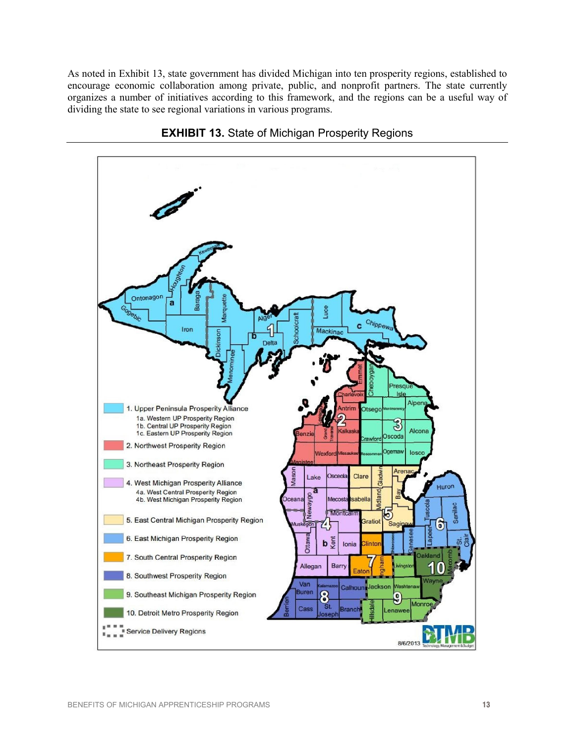As noted in Exhibit 13, state government has divided Michigan into ten prosperity regions, established to encourage economic collaboration among private, public, and nonprofit partners. The state currently organizes a number of initiatives according to this framework, and the regions can be a useful way of dividing the state to see regional variations in various programs.



**EXHIBIT 13.** State of Michigan Prosperity Regions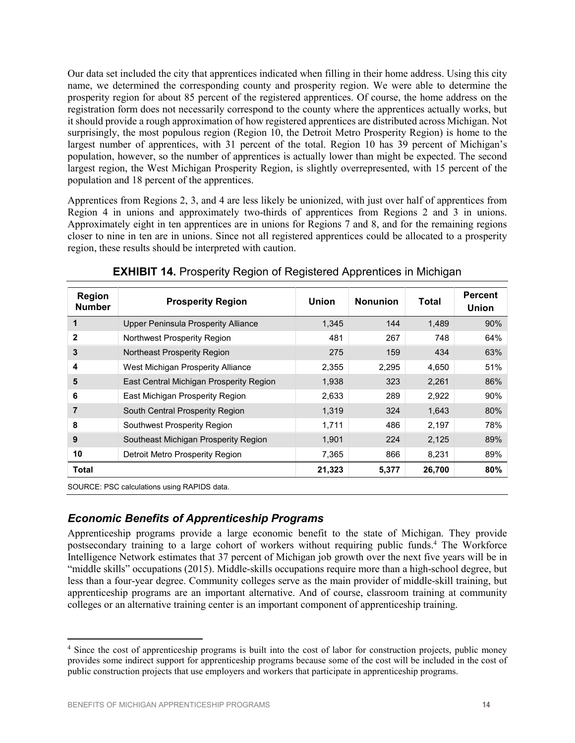Our data set included the city that apprentices indicated when filling in their home address. Using this city name, we determined the corresponding county and prosperity region. We were able to determine the prosperity region for about 85 percent of the registered apprentices. Of course, the home address on the registration form does not necessarily correspond to the county where the apprentices actually works, but it should provide a rough approximation of how registered apprentices are distributed across Michigan. Not surprisingly, the most populous region (Region 10, the Detroit Metro Prosperity Region) is home to the largest number of apprentices, with 31 percent of the total. Region 10 has 39 percent of Michigan's population, however, so the number of apprentices is actually lower than might be expected. The second largest region, the West Michigan Prosperity Region, is slightly overrepresented, with 15 percent of the population and 18 percent of the apprentices.

Apprentices from Regions 2, 3, and 4 are less likely be unionized, with just over half of apprentices from Region 4 in unions and approximately two-thirds of apprentices from Regions 2 and 3 in unions. Approximately eight in ten apprentices are in unions for Regions 7 and 8, and for the remaining regions closer to nine in ten are in unions. Since not all registered apprentices could be allocated to a prosperity region, these results should be interpreted with caution.

| <b>Region</b><br><b>Number</b> | <b>Prosperity Region</b>                   | Union  | <b>Nonunion</b> | Total  | <b>Percent</b><br><b>Union</b> |
|--------------------------------|--------------------------------------------|--------|-----------------|--------|--------------------------------|
| 1                              | <b>Upper Peninsula Prosperity Alliance</b> | 1,345  | 144             | 1.489  | 90%                            |
| 2                              | Northwest Prosperity Region                | 481    | 267             | 748    | 64%                            |
| 3                              | Northeast Prosperity Region                | 275    | 159             | 434    | 63%                            |
| 4                              | West Michigan Prosperity Alliance          | 2,355  | 2,295           | 4,650  | 51%                            |
| 5                              | East Central Michigan Prosperity Region    | 1,938  | 323             | 2,261  | 86%                            |
| 6                              | East Michigan Prosperity Region            | 2,633  | 289             | 2,922  | 90%                            |
|                                | South Central Prosperity Region            | 1.319  | 324             | 1.643  | 80%                            |
| 8                              | Southwest Prosperity Region                | 1,711  | 486             | 2,197  | 78%                            |
| 9                              | Southeast Michigan Prosperity Region       | 1,901  | 224             | 2,125  | 89%                            |
| 10                             | Detroit Metro Prosperity Region            | 7,365  | 866             | 8,231  | 89%                            |
| <b>Total</b>                   |                                            | 21,323 | 5,377           | 26,700 | 80%                            |

**EXHIBIT 14.** Prosperity Region of Registered Apprentices in Michigan

SOURCE: PSC calculations using RAPIDS data.

 $\overline{a}$ 

# *Economic Benefits of Apprenticeship Programs*

Apprenticeship programs provide a large economic benefit to the state of Michigan. They provide postsecondary training to a large cohort of workers without requiring public funds.4 The Workforce Intelligence Network estimates that 37 percent of Michigan job growth over the next five years will be in "middle skills" occupations (2015). Middle-skills occupations require more than a high-school degree, but less than a four-year degree. Community colleges serve as the main provider of middle-skill training, but apprenticeship programs are an important alternative. And of course, classroom training at community colleges or an alternative training center is an important component of apprenticeship training.

<sup>4</sup> Since the cost of apprenticeship programs is built into the cost of labor for construction projects, public money provides some indirect support for apprenticeship programs because some of the cost will be included in the cost of public construction projects that use employers and workers that participate in apprenticeship programs.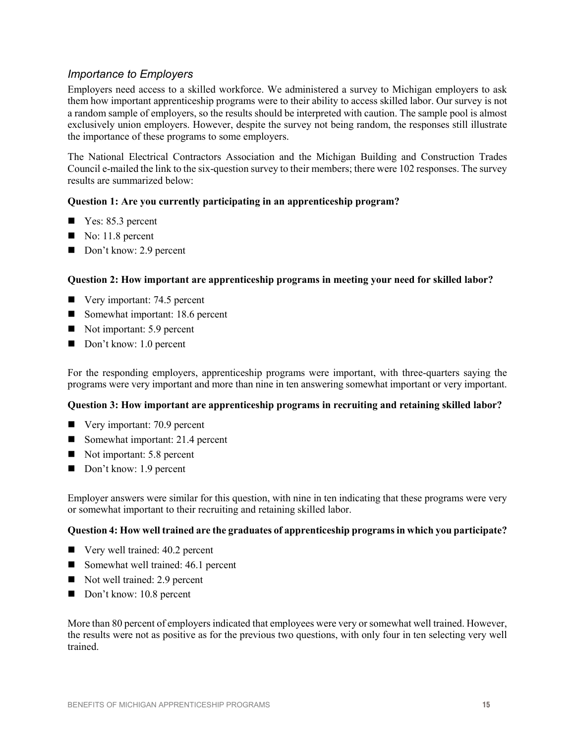# *Importance to Employers*

Employers need access to a skilled workforce. We administered a survey to Michigan employers to ask them how important apprenticeship programs were to their ability to access skilled labor. Our survey is not a random sample of employers, so the results should be interpreted with caution. The sample pool is almost exclusively union employers. However, despite the survey not being random, the responses still illustrate the importance of these programs to some employers.

The National Electrical Contractors Association and the Michigan Building and Construction Trades Council e-mailed the link to the six-question survey to their members; there were 102 responses. The survey results are summarized below:

#### **Question 1: Are you currently participating in an apprenticeship program?**

- $\blacksquare$  Yes: 85.3 percent
- $\blacksquare$  No: 11.8 percent
- Don't know: 2.9 percent

#### **Question 2: How important are apprenticeship programs in meeting your need for skilled labor?**

- Very important: 74.5 percent
- Somewhat important: 18.6 percent
- Not important: 5.9 percent
- Don't know: 1.0 percent

For the responding employers, apprenticeship programs were important, with three-quarters saying the programs were very important and more than nine in ten answering somewhat important or very important.

## **Question 3: How important are apprenticeship programs in recruiting and retaining skilled labor?**

- Very important: 70.9 percent
- Somewhat important: 21.4 percent
- Not important: 5.8 percent
- Don't know: 1.9 percent

Employer answers were similar for this question, with nine in ten indicating that these programs were very or somewhat important to their recruiting and retaining skilled labor.

#### **Question 4: How well trained are the graduates of apprenticeship programs in which you participate?**

- Very well trained: 40.2 percent
- Somewhat well trained: 46.1 percent
- Not well trained: 2.9 percent
- Don't know: 10.8 percent

More than 80 percent of employers indicated that employees were very or somewhat well trained. However, the results were not as positive as for the previous two questions, with only four in ten selecting very well trained.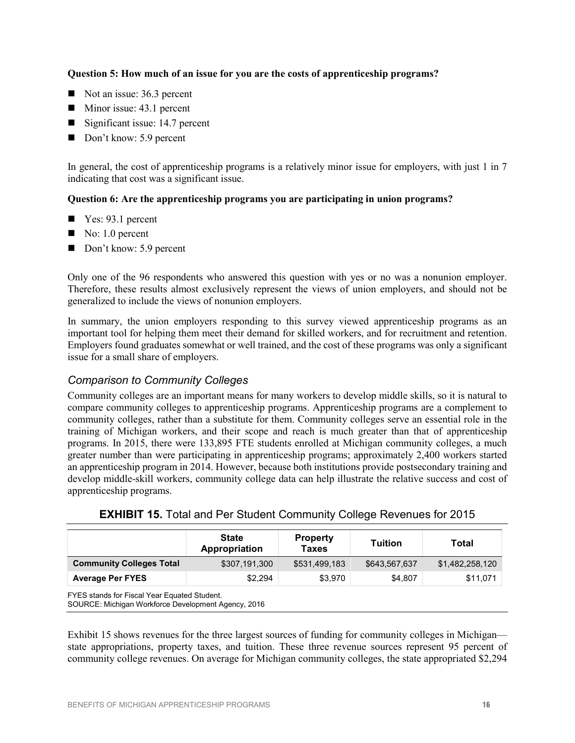#### **Question 5: How much of an issue for you are the costs of apprenticeship programs?**

- Not an issue: 36.3 percent
- $\blacksquare$  Minor issue: 43.1 percent
- Significant issue: 14.7 percent
- Don't know: 5.9 percent

In general, the cost of apprenticeship programs is a relatively minor issue for employers, with just 1 in 7 indicating that cost was a significant issue.

#### **Question 6: Are the apprenticeship programs you are participating in union programs?**

- $\blacksquare$  Yes: 93.1 percent
- $\blacksquare$  No: 1.0 percent
- Don't know: 5.9 percent

Only one of the 96 respondents who answered this question with yes or no was a nonunion employer. Therefore, these results almost exclusively represent the views of union employers, and should not be generalized to include the views of nonunion employers.

In summary, the union employers responding to this survey viewed apprenticeship programs as an important tool for helping them meet their demand for skilled workers, and for recruitment and retention. Employers found graduates somewhat or well trained, and the cost of these programs was only a significant issue for a small share of employers.

# *Comparison to Community Colleges*

Community colleges are an important means for many workers to develop middle skills, so it is natural to compare community colleges to apprenticeship programs. Apprenticeship programs are a complement to community colleges, rather than a substitute for them. Community colleges serve an essential role in the training of Michigan workers, and their scope and reach is much greater than that of apprenticeship programs. In 2015, there were 133,895 FTE students enrolled at Michigan community colleges, a much greater number than were participating in apprenticeship programs; approximately 2,400 workers started an apprenticeship program in 2014. However, because both institutions provide postsecondary training and develop middle-skill workers, community college data can help illustrate the relative success and cost of apprenticeship programs.

|                                 | <b>State</b><br>Appropriation | <b>Property</b><br><b>Taxes</b> | <b>Tuition</b> | Total           |
|---------------------------------|-------------------------------|---------------------------------|----------------|-----------------|
| <b>Community Colleges Total</b> | \$307,191,300                 | \$531,499,183                   | \$643,567,637  | \$1,482,258,120 |
| <b>Average Per FYES</b>         | \$2.294                       | \$3.970                         | \$4.807        | \$11,071        |

**EXHIBIT 15.** Total and Per Student Community College Revenues for 2015

SOURCE: Michigan Workforce Development Agency, 2016

Exhibit 15 shows revenues for the three largest sources of funding for community colleges in Michigan state appropriations, property taxes, and tuition. These three revenue sources represent 95 percent of community college revenues. On average for Michigan community colleges, the state appropriated \$2,294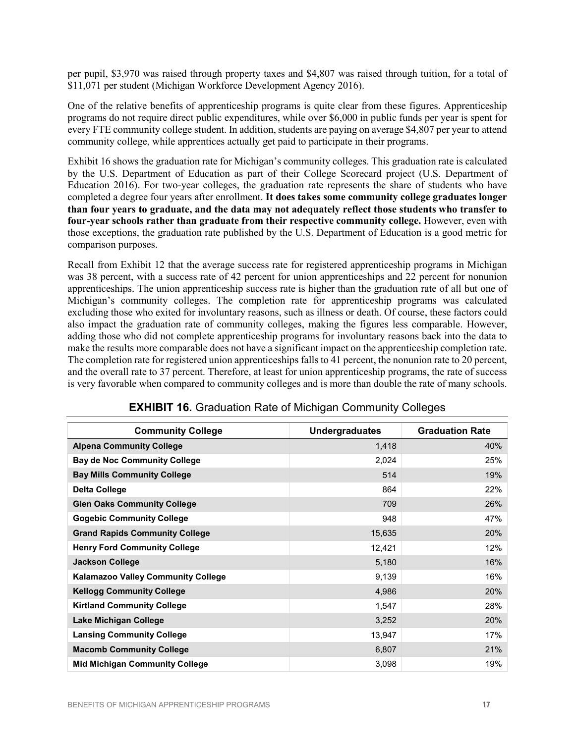per pupil, \$3,970 was raised through property taxes and \$4,807 was raised through tuition, for a total of \$11,071 per student (Michigan Workforce Development Agency 2016).

One of the relative benefits of apprenticeship programs is quite clear from these figures. Apprenticeship programs do not require direct public expenditures, while over \$6,000 in public funds per year is spent for every FTE community college student. In addition, students are paying on average \$4,807 per year to attend community college, while apprentices actually get paid to participate in their programs.

Exhibit 16 shows the graduation rate for Michigan's community colleges. This graduation rate is calculated by the U.S. Department of Education as part of their College Scorecard project (U.S. Department of Education 2016). For two-year colleges, the graduation rate represents the share of students who have completed a degree four years after enrollment. **It does takes some community college graduates longer than four years to graduate, and the data may not adequately reflect those students who transfer to four-year schools rather than graduate from their respective community college.** However, even with those exceptions, the graduation rate published by the U.S. Department of Education is a good metric for comparison purposes.

Recall from Exhibit 12 that the average success rate for registered apprenticeship programs in Michigan was 38 percent, with a success rate of 42 percent for union apprenticeships and 22 percent for nonunion apprenticeships. The union apprenticeship success rate is higher than the graduation rate of all but one of Michigan's community colleges. The completion rate for apprenticeship programs was calculated excluding those who exited for involuntary reasons, such as illness or death. Of course, these factors could also impact the graduation rate of community colleges, making the figures less comparable. However, adding those who did not complete apprenticeship programs for involuntary reasons back into the data to make the results more comparable does not have a significant impact on the apprenticeship completion rate. The completion rate for registered union apprenticeships falls to 41 percent, the nonunion rate to 20 percent, and the overall rate to 37 percent. Therefore, at least for union apprenticeship programs, the rate of success is very favorable when compared to community colleges and is more than double the rate of many schools.

| <b>Community College</b>                  | <b>Undergraduates</b> | <b>Graduation Rate</b> |
|-------------------------------------------|-----------------------|------------------------|
| <b>Alpena Community College</b>           | 1,418                 | 40%                    |
| <b>Bay de Noc Community College</b>       | 2,024                 | 25%                    |
| <b>Bay Mills Community College</b>        | 514                   | 19%                    |
| <b>Delta College</b>                      | 864                   | 22%                    |
| <b>Glen Oaks Community College</b>        | 709                   | 26%                    |
| <b>Gogebic Community College</b>          | 948                   | 47%                    |
| <b>Grand Rapids Community College</b>     | 15,635                | 20%                    |
| <b>Henry Ford Community College</b>       | 12,421                | 12%                    |
| <b>Jackson College</b>                    | 5,180                 | 16%                    |
| <b>Kalamazoo Valley Community College</b> | 9,139                 | 16%                    |
| <b>Kellogg Community College</b>          | 4,986                 | 20%                    |
| <b>Kirtland Community College</b>         | 1,547                 | 28%                    |
| <b>Lake Michigan College</b>              | 3,252                 | 20%                    |
| <b>Lansing Community College</b>          | 13,947                | 17%                    |
| <b>Macomb Community College</b>           | 6,807                 | 21%                    |
| <b>Mid Michigan Community College</b>     | 3,098                 | 19%                    |

### **EXHIBIT 16.** Graduation Rate of Michigan Community Colleges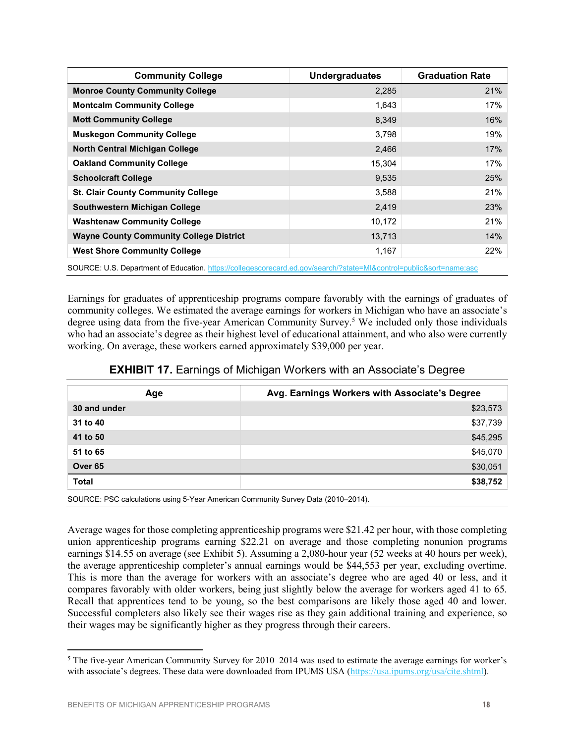| <b>Community College</b>                       | <b>Undergraduates</b> | <b>Graduation Rate</b> |
|------------------------------------------------|-----------------------|------------------------|
| <b>Monroe County Community College</b>         | 2,285                 | 21%                    |
| <b>Montcalm Community College</b>              | 1,643                 | 17%                    |
| <b>Mott Community College</b>                  | 8,349                 | 16%                    |
| <b>Muskegon Community College</b>              | 3,798                 | 19%                    |
| <b>North Central Michigan College</b>          | 2,466                 | 17%                    |
| <b>Oakland Community College</b>               | 15,304                | 17%                    |
| <b>Schoolcraft College</b>                     | 9,535                 | 25%                    |
| <b>St. Clair County Community College</b>      | 3,588                 | 21%                    |
| <b>Southwestern Michigan College</b>           | 2,419                 | 23%                    |
| <b>Washtenaw Community College</b>             | 10,172                | 21%                    |
| <b>Wayne County Community College District</b> | 13,713                | 14%                    |
| <b>West Shore Community College</b>            | 1,167                 | 22%                    |

SOURCE: U.S. Department of Education. https://collegescorecard.ed.gov/search/?state=MI&control=public&sort=name:asc

Earnings for graduates of apprenticeship programs compare favorably with the earnings of graduates of community colleges. We estimated the average earnings for workers in Michigan who have an associate's degree using data from the five-year American Community Survey.<sup>5</sup> We included only those individuals who had an associate's degree as their highest level of educational attainment, and who also were currently working. On average, these workers earned approximately \$39,000 per year.

|  |  | <b>EXHIBIT 17.</b> Earnings of Michigan Workers with an Associate's Degree |  |
|--|--|----------------------------------------------------------------------------|--|
|  |  |                                                                            |  |

| Age                | Avg. Earnings Workers with Associate's Degree |
|--------------------|-----------------------------------------------|
| 30 and under       | \$23,573                                      |
| 31 to 40           | \$37,739                                      |
| 41 to 50           | \$45,295                                      |
| 51 to 65           | \$45,070                                      |
| Over <sub>65</sub> | \$30,051                                      |
| <b>Total</b>       | \$38,752                                      |

SOURCE: PSC calculations using 5-Year American Community Survey Data (2010–2014).

Average wages for those completing apprenticeship programs were \$21.42 per hour, with those completing union apprenticeship programs earning \$22.21 on average and those completing nonunion programs earnings \$14.55 on average (see Exhibit 5). Assuming a 2,080-hour year (52 weeks at 40 hours per week), the average apprenticeship completer's annual earnings would be \$44,553 per year, excluding overtime. This is more than the average for workers with an associate's degree who are aged 40 or less, and it compares favorably with older workers, being just slightly below the average for workers aged 41 to 65. Recall that apprentices tend to be young, so the best comparisons are likely those aged 40 and lower. Successful completers also likely see their wages rise as they gain additional training and experience, so their wages may be significantly higher as they progress through their careers.

 $\overline{a}$ 

<sup>5</sup> The five-year American Community Survey for 2010–2014 was used to estimate the average earnings for worker's with associate's degrees. These data were downloaded from IPUMS USA (https://usa.ipums.org/usa/cite.shtml).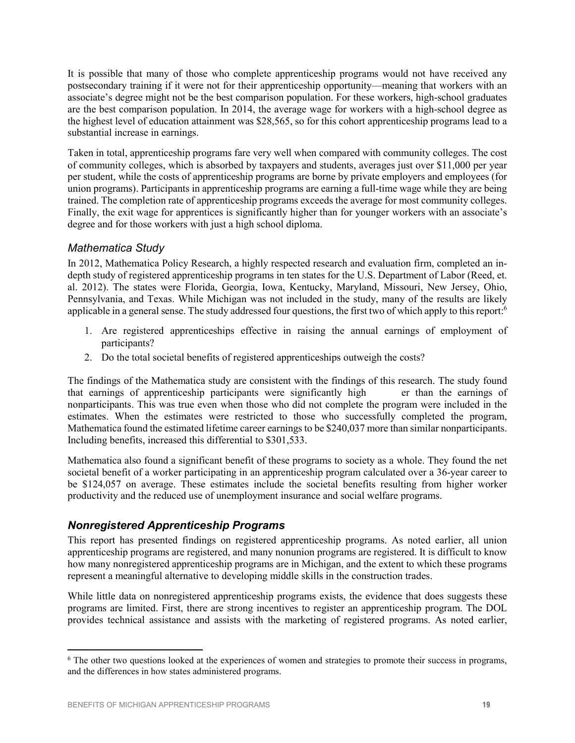It is possible that many of those who complete apprenticeship programs would not have received any postsecondary training if it were not for their apprenticeship opportunity—meaning that workers with an associate's degree might not be the best comparison population. For these workers, high-school graduates are the best comparison population. In 2014, the average wage for workers with a high-school degree as the highest level of education attainment was \$28,565, so for this cohort apprenticeship programs lead to a substantial increase in earnings.

Taken in total, apprenticeship programs fare very well when compared with community colleges. The cost of community colleges, which is absorbed by taxpayers and students, averages just over \$11,000 per year per student, while the costs of apprenticeship programs are borne by private employers and employees (for union programs). Participants in apprenticeship programs are earning a full-time wage while they are being trained. The completion rate of apprenticeship programs exceeds the average for most community colleges. Finally, the exit wage for apprentices is significantly higher than for younger workers with an associate's degree and for those workers with just a high school diploma.

## *Mathematica Study*

In 2012, Mathematica Policy Research, a highly respected research and evaluation firm, completed an indepth study of registered apprenticeship programs in ten states for the U.S. Department of Labor (Reed, et. al. 2012). The states were Florida, Georgia, Iowa, Kentucky, Maryland, Missouri, New Jersey, Ohio, Pennsylvania, and Texas. While Michigan was not included in the study, many of the results are likely applicable in a general sense. The study addressed four questions, the first two of which apply to this report:<sup>6</sup>

- 1. Are registered apprenticeships effective in raising the annual earnings of employment of participants?
- 2. Do the total societal benefits of registered apprenticeships outweigh the costs?

The findings of the Mathematica study are consistent with the findings of this research. The study found that earnings of apprenticeship participants were significantly high er than the earnings of nonparticipants. This was true even when those who did not complete the program were included in the estimates. When the estimates were restricted to those who successfully completed the program, Mathematica found the estimated lifetime career earnings to be \$240,037 more than similar nonparticipants. Including benefits, increased this differential to \$301,533.

Mathematica also found a significant benefit of these programs to society as a whole. They found the net societal benefit of a worker participating in an apprenticeship program calculated over a 36-year career to be \$124,057 on average. These estimates include the societal benefits resulting from higher worker productivity and the reduced use of unemployment insurance and social welfare programs.

# *Nonregistered Apprenticeship Programs*

This report has presented findings on registered apprenticeship programs. As noted earlier, all union apprenticeship programs are registered, and many nonunion programs are registered. It is difficult to know how many nonregistered apprenticeship programs are in Michigan, and the extent to which these programs represent a meaningful alternative to developing middle skills in the construction trades.

While little data on nonregistered apprenticeship programs exists, the evidence that does suggests these programs are limited. First, there are strong incentives to register an apprenticeship program. The DOL provides technical assistance and assists with the marketing of registered programs. As noted earlier,

 $\overline{a}$ <sup>6</sup> The other two questions looked at the experiences of women and strategies to promote their success in programs, and the differences in how states administered programs.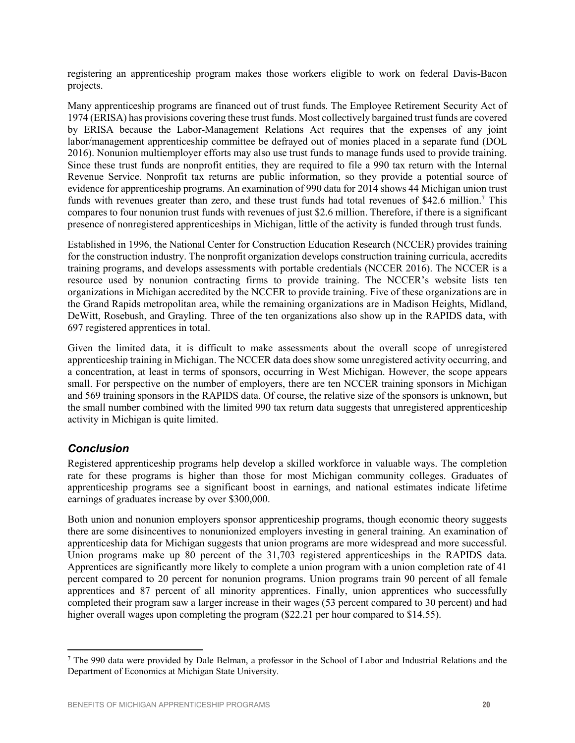registering an apprenticeship program makes those workers eligible to work on federal Davis-Bacon projects.

Many apprenticeship programs are financed out of trust funds. The Employee Retirement Security Act of 1974 (ERISA) has provisions covering these trust funds. Most collectively bargained trust funds are covered by ERISA because the Labor-Management Relations Act requires that the expenses of any joint labor/management apprenticeship committee be defrayed out of monies placed in a separate fund (DOL 2016). Nonunion multiemployer efforts may also use trust funds to manage funds used to provide training. Since these trust funds are nonprofit entities, they are required to file a 990 tax return with the Internal Revenue Service. Nonprofit tax returns are public information, so they provide a potential source of evidence for apprenticeship programs. An examination of 990 data for 2014 shows 44 Michigan union trust funds with revenues greater than zero, and these trust funds had total revenues of \$42.6 million.<sup>7</sup> This compares to four nonunion trust funds with revenues of just \$2.6 million. Therefore, if there is a significant presence of nonregistered apprenticeships in Michigan, little of the activity is funded through trust funds.

Established in 1996, the National Center for Construction Education Research (NCCER) provides training for the construction industry. The nonprofit organization develops construction training curricula, accredits training programs, and develops assessments with portable credentials (NCCER 2016). The NCCER is a resource used by nonunion contracting firms to provide training. The NCCER's website lists ten organizations in Michigan accredited by the NCCER to provide training. Five of these organizations are in the Grand Rapids metropolitan area, while the remaining organizations are in Madison Heights, Midland, DeWitt, Rosebush, and Grayling. Three of the ten organizations also show up in the RAPIDS data, with 697 registered apprentices in total.

Given the limited data, it is difficult to make assessments about the overall scope of unregistered apprenticeship training in Michigan. The NCCER data does show some unregistered activity occurring, and a concentration, at least in terms of sponsors, occurring in West Michigan. However, the scope appears small. For perspective on the number of employers, there are ten NCCER training sponsors in Michigan and 569 training sponsors in the RAPIDS data. Of course, the relative size of the sponsors is unknown, but the small number combined with the limited 990 tax return data suggests that unregistered apprenticeship activity in Michigan is quite limited.

# *Conclusion*

Registered apprenticeship programs help develop a skilled workforce in valuable ways. The completion rate for these programs is higher than those for most Michigan community colleges. Graduates of apprenticeship programs see a significant boost in earnings, and national estimates indicate lifetime earnings of graduates increase by over \$300,000.

Both union and nonunion employers sponsor apprenticeship programs, though economic theory suggests there are some disincentives to nonunionized employers investing in general training. An examination of apprenticeship data for Michigan suggests that union programs are more widespread and more successful. Union programs make up 80 percent of the 31,703 registered apprenticeships in the RAPIDS data. Apprentices are significantly more likely to complete a union program with a union completion rate of 41 percent compared to 20 percent for nonunion programs. Union programs train 90 percent of all female apprentices and 87 percent of all minority apprentices. Finally, union apprentices who successfully completed their program saw a larger increase in their wages (53 percent compared to 30 percent) and had higher overall wages upon completing the program (\$22.21 per hour compared to \$14.55).

 $\overline{a}$ <sup>7</sup> The 990 data were provided by Dale Belman, a professor in the School of Labor and Industrial Relations and the Department of Economics at Michigan State University.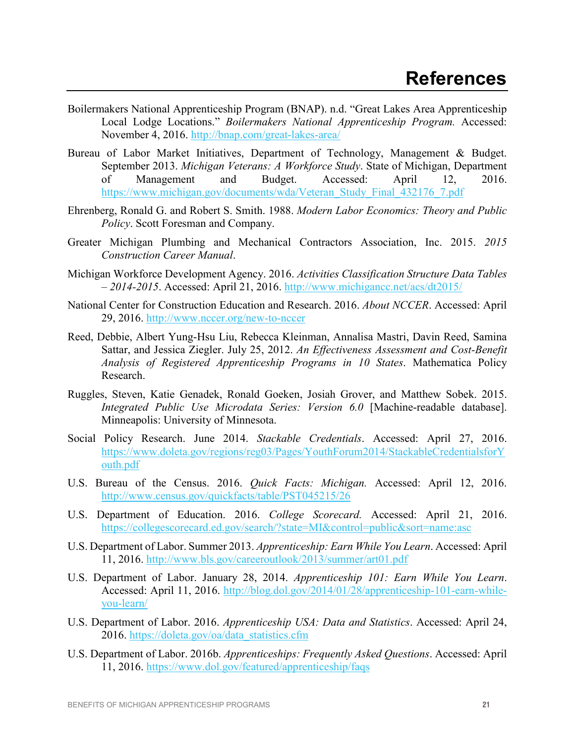- Boilermakers National Apprenticeship Program (BNAP). n.d. "Great Lakes Area Apprenticeship Local Lodge Locations." *Boilermakers National Apprenticeship Program.* Accessed: November 4, 2016. http://bnap.com/great-lakes-area/
- Bureau of Labor Market Initiatives, Department of Technology, Management & Budget. September 2013. *Michigan Veterans: A Workforce Study*. State of Michigan, Department of Management and Budget. Accessed: April 12, 2016. https://www.michigan.gov/documents/wda/Veteran\_Study\_Final\_432176\_7.pdf
- Ehrenberg, Ronald G. and Robert S. Smith. 1988. *Modern Labor Economics: Theory and Public Policy*. Scott Foresman and Company.
- Greater Michigan Plumbing and Mechanical Contractors Association, Inc. 2015. *2015 Construction Career Manual*.
- Michigan Workforce Development Agency. 2016. *Activities Classification Structure Data Tables – 2014-2015*. Accessed: April 21, 2016. http://www.michigancc.net/acs/dt2015/
- National Center for Construction Education and Research. 2016. *About NCCER*. Accessed: April 29, 2016. http://www.nccer.org/new-to-nccer
- Reed, Debbie, Albert Yung-Hsu Liu, Rebecca Kleinman, Annalisa Mastri, Davin Reed, Samina Sattar, and Jessica Ziegler. July 25, 2012. *An Effectiveness Assessment and Cost-Benefit Analysis of Registered Apprenticeship Programs in 10 States*. Mathematica Policy Research.
- Ruggles, Steven, Katie Genadek, Ronald Goeken, Josiah Grover, and Matthew Sobek. 2015. *Integrated Public Use Microdata Series: Version 6.0* [Machine-readable database]. Minneapolis: University of Minnesota.
- Social Policy Research. June 2014. *Stackable Credentials*. Accessed: April 27, 2016. https://www.doleta.gov/regions/reg03/Pages/YouthForum2014/StackableCredentialsforY outh.pdf
- U.S. Bureau of the Census. 2016. *Quick Facts: Michigan.* Accessed: April 12, 2016. http://www.census.gov/quickfacts/table/PST045215/26
- U.S. Department of Education. 2016. *College Scorecard.* Accessed: April 21, 2016. https://collegescorecard.ed.gov/search/?state=MI&control=public&sort=name:asc
- U.S. Department of Labor. Summer 2013. *Apprenticeship: Earn While You Learn*. Accessed: April 11, 2016. http://www.bls.gov/careeroutlook/2013/summer/art01.pdf
- U.S. Department of Labor. January 28, 2014. *Apprenticeship 101: Earn While You Learn*. Accessed: April 11, 2016. http://blog.dol.gov/2014/01/28/apprenticeship-101-earn-whileyou-learn/
- U.S. Department of Labor. 2016. *Apprenticeship USA: Data and Statistics*. Accessed: April 24, 2016. https://doleta.gov/oa/data\_statistics.cfm
- U.S. Department of Labor. 2016b. *Apprenticeships: Frequently Asked Questions*. Accessed: April 11, 2016. https://www.dol.gov/featured/apprenticeship/faqs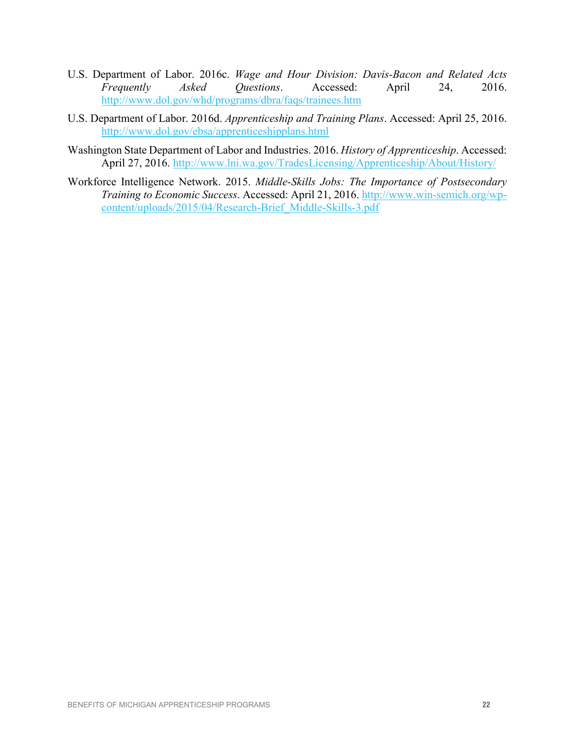- U.S. Department of Labor. 2016c. *Wage and Hour Division: Davis-Bacon and Related Acts Frequently Asked Questions*. Accessed: April 24, 2016. http://www.dol.gov/whd/programs/dbra/faqs/trainees.htm
- U.S. Department of Labor. 2016d. *Apprenticeship and Training Plans*. Accessed: April 25, 2016. http://www.dol.gov/ebsa/apprenticeshipplans.html
- Washington State Department of Labor and Industries. 2016. *History of Apprenticeship*. Accessed: April 27, 2016. http://www.lni.wa.gov/TradesLicensing/Apprenticeship/About/History/
- Workforce Intelligence Network. 2015. *Middle-Skills Jobs: The Importance of Postsecondary Training to Economic Success*. Accessed: April 21, 2016. http://www.win-semich.org/wpcontent/uploads/2015/04/Research-Brief\_Middle-Skills-3.pdf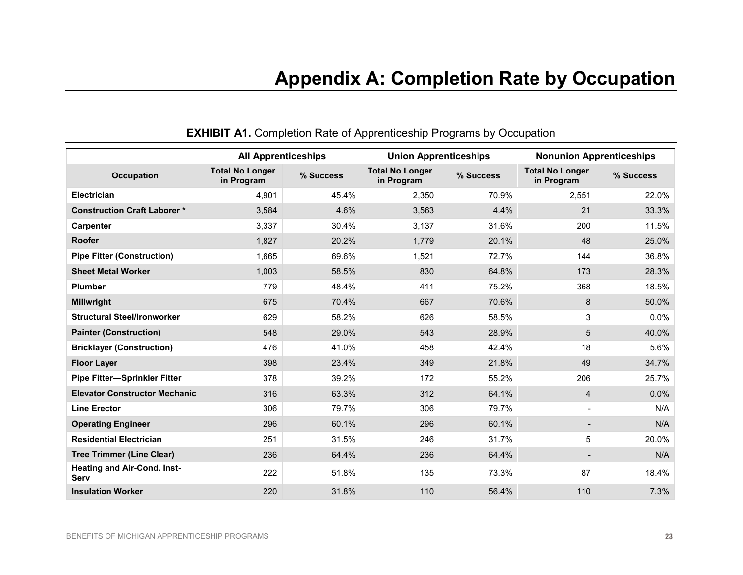|                                            | <b>All Apprenticeships</b>           |           |                                      | <b>Union Apprenticeships</b> |                                      | <b>Nonunion Apprenticeships</b> |  |
|--------------------------------------------|--------------------------------------|-----------|--------------------------------------|------------------------------|--------------------------------------|---------------------------------|--|
| <b>Occupation</b>                          | <b>Total No Longer</b><br>in Program | % Success | <b>Total No Longer</b><br>in Program | % Success                    | <b>Total No Longer</b><br>in Program | % Success                       |  |
| <b>Electrician</b>                         | 4,901                                | 45.4%     | 2,350                                | 70.9%                        | 2,551                                | 22.0%                           |  |
| <b>Construction Craft Laborer *</b>        | 3,584                                | 4.6%      | 3,563                                | 4.4%                         | 21                                   | 33.3%                           |  |
| <b>Carpenter</b>                           | 3,337                                | 30.4%     | 3,137                                | 31.6%                        | 200                                  | 11.5%                           |  |
| <b>Roofer</b>                              | 1,827                                | 20.2%     | 1,779                                | 20.1%                        | 48                                   | 25.0%                           |  |
| <b>Pipe Fitter (Construction)</b>          | 1,665                                | 69.6%     | 1,521                                | 72.7%                        | 144                                  | 36.8%                           |  |
| <b>Sheet Metal Worker</b>                  | 1,003                                | 58.5%     | 830                                  | 64.8%                        | 173                                  | 28.3%                           |  |
| <b>Plumber</b>                             | 779                                  | 48.4%     | 411                                  | 75.2%                        | 368                                  | 18.5%                           |  |
| <b>Millwright</b>                          | 675                                  | 70.4%     | 667                                  | 70.6%                        | 8                                    | 50.0%                           |  |
| <b>Structural Steel/Ironworker</b>         | 629                                  | 58.2%     | 626                                  | 58.5%                        | 3                                    | 0.0%                            |  |
| <b>Painter (Construction)</b>              | 548                                  | 29.0%     | 543                                  | 28.9%                        | 5                                    | 40.0%                           |  |
| <b>Bricklayer (Construction)</b>           | 476                                  | 41.0%     | 458                                  | 42.4%                        | 18                                   | 5.6%                            |  |
| <b>Floor Layer</b>                         | 398                                  | 23.4%     | 349                                  | 21.8%                        | 49                                   | 34.7%                           |  |
| <b>Pipe Fitter-Sprinkler Fitter</b>        | 378                                  | 39.2%     | 172                                  | 55.2%                        | 206                                  | 25.7%                           |  |
| <b>Elevator Constructor Mechanic</b>       | 316                                  | 63.3%     | 312                                  | 64.1%                        | 4                                    | 0.0%                            |  |
| <b>Line Erector</b>                        | 306                                  | 79.7%     | 306                                  | 79.7%                        | $\overline{\phantom{a}}$             | N/A                             |  |
| <b>Operating Engineer</b>                  | 296                                  | 60.1%     | 296                                  | 60.1%                        |                                      | N/A                             |  |
| <b>Residential Electrician</b>             | 251                                  | 31.5%     | 246                                  | 31.7%                        | 5                                    | 20.0%                           |  |
| <b>Tree Trimmer (Line Clear)</b>           | 236                                  | 64.4%     | 236                                  | 64.4%                        |                                      | N/A                             |  |
| <b>Heating and Air-Cond. Inst-</b><br>Serv | 222                                  | 51.8%     | 135                                  | 73.3%                        | 87                                   | 18.4%                           |  |
| <b>Insulation Worker</b>                   | 220                                  | 31.8%     | 110                                  | 56.4%                        | 110                                  | 7.3%                            |  |

# **EXHIBIT A1.** Completion Rate of Apprenticeship Programs by Occupation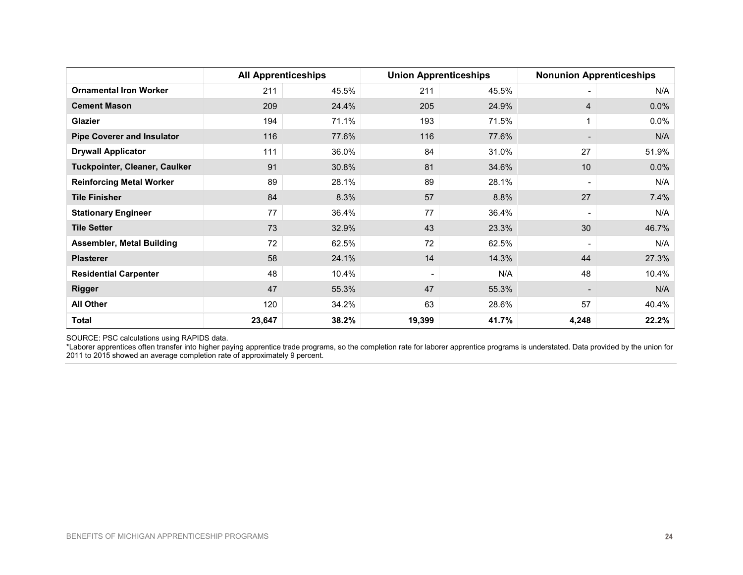|                                   | <b>All Apprenticeships</b> |       |        | <b>Union Apprenticeships</b> |                          | <b>Nonunion Apprenticeships</b> |  |
|-----------------------------------|----------------------------|-------|--------|------------------------------|--------------------------|---------------------------------|--|
| <b>Ornamental Iron Worker</b>     | 211                        | 45.5% | 211    | 45.5%                        | $\overline{\phantom{0}}$ | N/A                             |  |
| <b>Cement Mason</b>               | 209                        | 24.4% | 205    | 24.9%                        | $\overline{4}$           | 0.0%                            |  |
| <b>Glazier</b>                    | 194                        | 71.1% | 193    | 71.5%                        | 1                        | $0.0\%$                         |  |
| <b>Pipe Coverer and Insulator</b> | 116                        | 77.6% | 116    | 77.6%                        |                          | N/A                             |  |
| <b>Drywall Applicator</b>         | 111                        | 36.0% | 84     | 31.0%                        | 27                       | 51.9%                           |  |
| Tuckpointer, Cleaner, Caulker     | 91                         | 30.8% | 81     | 34.6%                        | 10                       | $0.0\%$                         |  |
| <b>Reinforcing Metal Worker</b>   | 89                         | 28.1% | 89     | 28.1%                        | $\overline{\phantom{a}}$ | N/A                             |  |
| <b>Tile Finisher</b>              | 84                         | 8.3%  | 57     | 8.8%                         | 27                       | 7.4%                            |  |
| <b>Stationary Engineer</b>        | 77                         | 36.4% | 77     | 36.4%                        | $\overline{\phantom{a}}$ | N/A                             |  |
| <b>Tile Setter</b>                | 73                         | 32.9% | 43     | 23.3%                        | 30                       | 46.7%                           |  |
| <b>Assembler, Metal Building</b>  | 72                         | 62.5% | 72     | 62.5%                        | $\overline{\phantom{a}}$ | N/A                             |  |
| <b>Plasterer</b>                  | 58                         | 24.1% | 14     | 14.3%                        | 44                       | 27.3%                           |  |
| <b>Residential Carpenter</b>      | 48                         | 10.4% |        | N/A                          | 48                       | 10.4%                           |  |
| <b>Rigger</b>                     | 47                         | 55.3% | 47     | 55.3%                        | $\overline{\phantom{a}}$ | N/A                             |  |
| <b>All Other</b>                  | 120                        | 34.2% | 63     | 28.6%                        | 57                       | 40.4%                           |  |
| Total                             | 23,647                     | 38.2% | 19,399 | 41.7%                        | 4,248                    | 22.2%                           |  |

SOURCE: PSC calculations using RAPIDS data.

\*Laborer apprentices often transfer into higher paying apprentice trade programs, so the completion rate for laborer apprentice programs is understated. Data provided by the union for 2011 to 2015 showed an average completion rate of approximately 9 percent.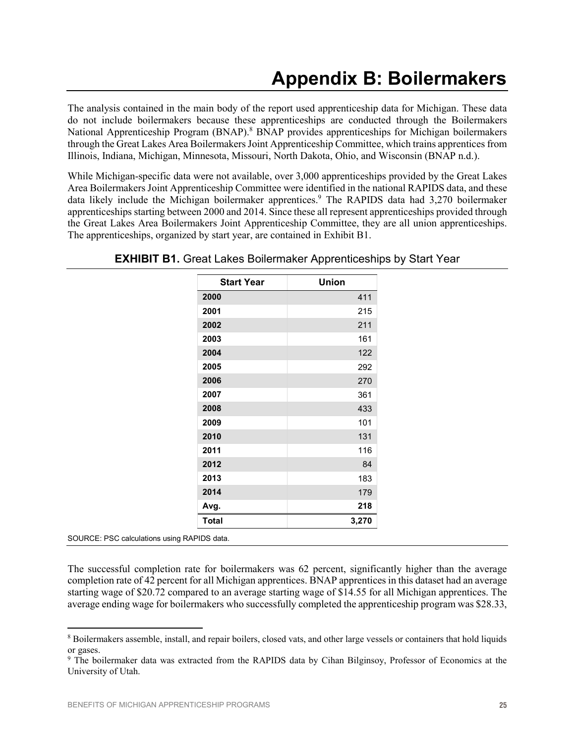The analysis contained in the main body of the report used apprenticeship data for Michigan. These data do not include boilermakers because these apprenticeships are conducted through the Boilermakers National Apprenticeship Program (BNAP).<sup>8</sup> BNAP provides apprenticeships for Michigan boilermakers through the Great Lakes Area Boilermakers Joint Apprenticeship Committee, which trains apprentices from Illinois, Indiana, Michigan, Minnesota, Missouri, North Dakota, Ohio, and Wisconsin (BNAP n.d.).

While Michigan-specific data were not available, over 3,000 apprenticeships provided by the Great Lakes Area Boilermakers Joint Apprenticeship Committee were identified in the national RAPIDS data, and these data likely include the Michigan boilermaker apprentices. <sup>9</sup> The RAPIDS data had 3,270 boilermaker apprenticeships starting between 2000 and 2014. Since these all represent apprenticeships provided through the Great Lakes Area Boilermakers Joint Apprenticeship Committee, they are all union apprenticeships. The apprenticeships, organized by start year, are contained in Exhibit B1.

| <b>Start Year</b> | Union |
|-------------------|-------|
| 2000              | 411   |
| 2001              | 215   |
| 2002              | 211   |
| 2003              | 161   |
| 2004              | 122   |
| 2005              | 292   |
| 2006              | 270   |
| 2007              | 361   |
| 2008              | 433   |
| 2009              | 101   |
| 2010              | 131   |
| 2011              | 116   |
| 2012              | 84    |
| 2013              | 183   |
| 2014              | 179   |
| Avg.              | 218   |
| Total             | 3,270 |

## **EXHIBIT B1.** Great Lakes Boilermaker Apprenticeships by Start Year

SOURCE: PSC calculations using RAPIDS data.

 $\overline{a}$ 

The successful completion rate for boilermakers was 62 percent, significantly higher than the average completion rate of 42 percent for all Michigan apprentices. BNAP apprentices in this dataset had an average starting wage of \$20.72 compared to an average starting wage of \$14.55 for all Michigan apprentices. The average ending wage for boilermakers who successfully completed the apprenticeship program was \$28.33,

<sup>8</sup> Boilermakers assemble, install, and repair boilers, closed vats, and other large vessels or containers that hold liquids or gases.

<sup>9</sup> The boilermaker data was extracted from the RAPIDS data by Cihan Bilginsoy, Professor of Economics at the University of Utah.